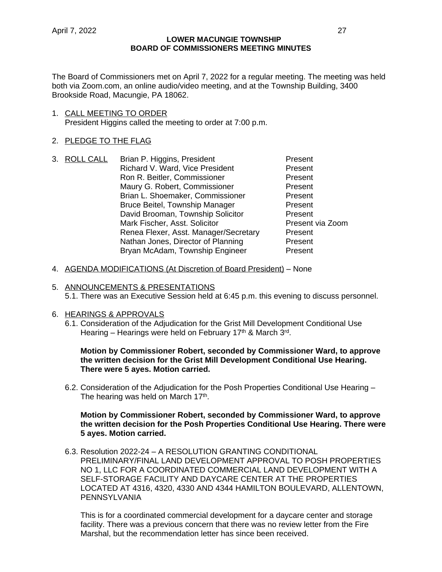The Board of Commissioners met on April 7, 2022 for a regular meeting. The meeting was held both via Zoom.com, an online audio/video meeting, and at the Township Building, 3400 Brookside Road, Macungie, PA 18062.

1. CALL MEETING TO ORDER President Higgins called the meeting to order at 7:00 p.m.

## 2. PLEDGE TO THE FLAG

- 3. ROLL CALL Brian P. Higgins, President Present Richard V. Ward, Vice President Present Ron R. Beitler, Commissioner **Present** Maury G. Robert, Commissioner **Present** Brian L. Shoemaker, Commissioner Present Bruce Beitel, Township Manager Present David Brooman, Township Solicitor **Present**<br>
Mark Fischer, Asst, Solicitor **Present via Zoom** Mark Fischer, Asst. Solicitor Renea Flexer, Asst. Manager/Secretary Present Nathan Jones, Director of Planning Present Bryan McAdam, Township Engineer Present
- 4. AGENDA MODIFICATIONS (At Discretion of Board President) None
- 5. ANNOUNCEMENTS & PRESENTATIONS
	- 5.1. There was an Executive Session held at 6:45 p.m. this evening to discuss personnel.

### 6. HEARINGS & APPROVALS

6.1. Consideration of the Adjudication for the Grist Mill Development Conditional Use Hearing – Hearings were held on February 17<sup>th</sup> & March 3<sup>rd</sup>.

### **Motion by Commissioner Robert, seconded by Commissioner Ward, to approve the written decision for the Grist Mill Development Conditional Use Hearing. There were 5 ayes. Motion carried.**

6.2. Consideration of the Adjudication for the Posh Properties Conditional Use Hearing – The hearing was held on March 17<sup>th</sup>.

### **Motion by Commissioner Robert, seconded by Commissioner Ward, to approve the written decision for the Posh Properties Conditional Use Hearing. There were 5 ayes. Motion carried.**

6.3. Resolution 2022-24 – A RESOLUTION GRANTING CONDITIONAL PRELIMINARY/FINAL LAND DEVELOPMENT APPROVAL TO POSH PROPERTIES NO 1, LLC FOR A COORDINATED COMMERCIAL LAND DEVELOPMENT WITH A SELF-STORAGE FACILITY AND DAYCARE CENTER AT THE PROPERTIES LOCATED AT 4316, 4320, 4330 AND 4344 HAMILTON BOULEVARD, ALLENTOWN, **PENNSYLVANIA** 

This is for a coordinated commercial development for a daycare center and storage facility. There was a previous concern that there was no review letter from the Fire Marshal, but the recommendation letter has since been received.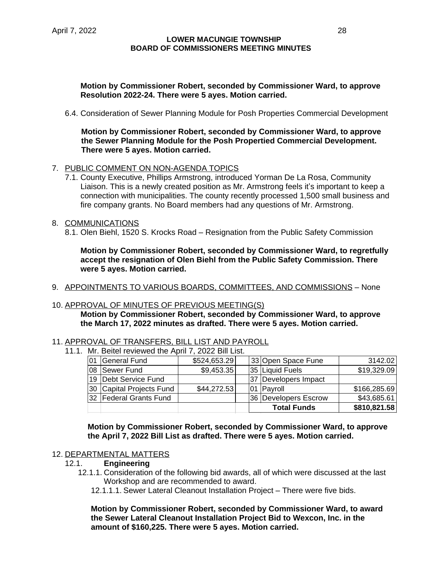### **Motion by Commissioner Robert, seconded by Commissioner Ward, to approve Resolution 2022-24. There were 5 ayes. Motion carried.**

6.4. Consideration of Sewer Planning Module for Posh Properties Commercial Development

**Motion by Commissioner Robert, seconded by Commissioner Ward, to approve the Sewer Planning Module for the Posh Propertied Commercial Development. There were 5 ayes. Motion carried.**

- 7. PUBLIC COMMENT ON NON-AGENDA TOPICS
	- 7.1. County Executive, Phillips Armstrong, introduced Yorman De La Rosa, Community Liaison. This is a newly created position as Mr. Armstrong feels it's important to keep a connection with municipalities. The county recently processed 1,500 small business and fire company grants. No Board members had any questions of Mr. Armstrong.
- 8. COMMUNICATIONS
	- 8.1. Olen Biehl, 1520 S. Krocks Road Resignation from the Public Safety Commission

**Motion by Commissioner Robert, seconded by Commissioner Ward, to regretfully accept the resignation of Olen Biehl from the Public Safety Commission. There were 5 ayes. Motion carried.**

9. APPOINTMENTS TO VARIOUS BOARDS, COMMITTEES, AND COMMISSIONS – None

### 10. APPROVAL OF MINUTES OF PREVIOUS MEETING(S)

**Motion by Commissioner Robert, seconded by Commissioner Ward, to approve the March 17, 2022 minutes as drafted. There were 5 ayes. Motion carried.**

### 11. APPROVAL OF TRANSFERS, BILL LIST AND PAYROLL

11.1. Mr. Beitel reviewed the April 7, 2022 Bill List.

|     |                           |              |    | <b>Total Funds</b>     | \$810,821.58 |
|-----|---------------------------|--------------|----|------------------------|--------------|
|     | 132   Federal Grants Fund |              |    | 36   Developers Escrow | \$43,685.61  |
|     | 30 Capital Projects Fund  | \$44,272.53  |    | 01 Payroll             | \$166,285.69 |
|     | 19 Debt Service Fund      |              | 37 | Developers Impact      |              |
| l08 | Sewer Fund                | \$9,453.35   |    | 35  Liquid Fuels       | \$19,329.09  |
| 01  | General Fund              | \$524,653.29 |    | 33 Open Space Fune     | 3142.02      |
|     |                           |              |    |                        |              |

**Motion by Commissioner Robert, seconded by Commissioner Ward, to approve the April 7, 2022 Bill List as drafted. There were 5 ayes. Motion carried.**

### 12. DEPARTMENTAL MATTERS

- 12.1. **Engineering**
	- 12.1.1. Consideration of the following bid awards, all of which were discussed at the last Workshop and are recommended to award.
		- 12.1.1.1. Sewer Lateral Cleanout Installation Project There were five bids.

**Motion by Commissioner Robert, seconded by Commissioner Ward, to award the Sewer Lateral Cleanout Installation Project Bid to Wexcon, Inc. in the amount of \$160,225. There were 5 ayes. Motion carried.**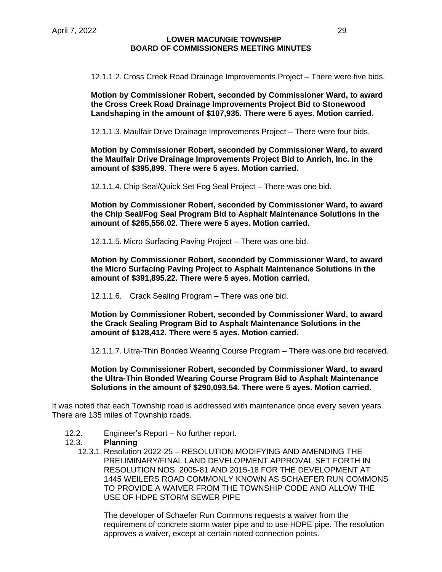12.1.1.2. Cross Creek Road Drainage Improvements Project – There were five bids.

**Motion by Commissioner Robert, seconded by Commissioner Ward, to award the Cross Creek Road Drainage Improvements Project Bid to Stonewood Landshaping in the amount of \$107,935. There were 5 ayes. Motion carried.**

12.1.1.3. Maulfair Drive Drainage Improvements Project – There were four bids.

**Motion by Commissioner Robert, seconded by Commissioner Ward, to award the Maulfair Drive Drainage Improvements Project Bid to Anrich, Inc. in the amount of \$395,899. There were 5 ayes. Motion carried.**

12.1.1.4. Chip Seal/Quick Set Fog Seal Project – There was one bid.

**Motion by Commissioner Robert, seconded by Commissioner Ward, to award the Chip Seal/Fog Seal Program Bid to Asphalt Maintenance Solutions in the amount of \$265,556.02. There were 5 ayes. Motion carried.**

12.1.1.5. Micro Surfacing Paving Project – There was one bid.

**Motion by Commissioner Robert, seconded by Commissioner Ward, to award the Micro Surfacing Paving Project to Asphalt Maintenance Solutions in the amount of \$391,895.22. There were 5 ayes. Motion carried.**

12.1.1.6. Crack Sealing Program – There was one bid.

**Motion by Commissioner Robert, seconded by Commissioner Ward, to award the Crack Sealing Program Bid to Asphalt Maintenance Solutions in the amount of \$128,412. There were 5 ayes. Motion carried.**

12.1.1.7. Ultra-Thin Bonded Wearing Course Program – There was one bid received.

**Motion by Commissioner Robert, seconded by Commissioner Ward, to award the Ultra-Thin Bonded Wearing Course Program Bid to Asphalt Maintenance Solutions in the amount of \$290,093.54. There were 5 ayes. Motion carried.**

It was noted that each Township road is addressed with maintenance once every seven years. There are 135 miles of Township roads.

- 12.2. Engineer's Report No further report.
- 12.3. **Planning**
	- 12.3.1. Resolution 2022-25 RESOLUTION MODIFYING AND AMENDING THE PRELIMINARY/FINAL LAND DEVELOPMENT APPROVAL SET FORTH IN RESOLUTION NOS. 2005-81 AND 2015-18 FOR THE DEVELOPMENT AT 1445 WEILERS ROAD COMMONLY KNOWN AS SCHAEFER RUN COMMONS TO PROVIDE A WAIVER FROM THE TOWNSHIP CODE AND ALLOW THE USE OF HDPE STORM SEWER PIPE

The developer of Schaefer Run Commons requests a waiver from the requirement of concrete storm water pipe and to use HDPE pipe. The resolution approves a waiver, except at certain noted connection points.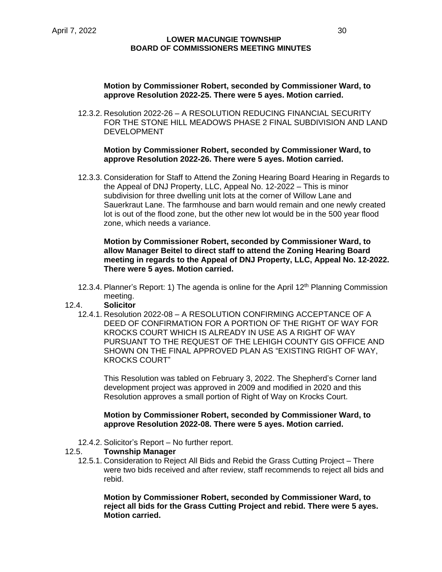### **Motion by Commissioner Robert, seconded by Commissioner Ward, to approve Resolution 2022-25. There were 5 ayes. Motion carried.**

12.3.2. Resolution 2022-26 – A RESOLUTION REDUCING FINANCIAL SECURITY FOR THE STONE HILL MEADOWS PHASE 2 FINAL SUBDIVISION AND LAND DEVELOPMENT

### **Motion by Commissioner Robert, seconded by Commissioner Ward, to approve Resolution 2022-26. There were 5 ayes. Motion carried.**

12.3.3. Consideration for Staff to Attend the Zoning Hearing Board Hearing in Regards to the Appeal of DNJ Property, LLC, Appeal No. 12-2022 – This is minor subdivision for three dwelling unit lots at the corner of Willow Lane and Sauerkraut Lane. The farmhouse and barn would remain and one newly created lot is out of the flood zone, but the other new lot would be in the 500 year flood zone, which needs a variance.

### **Motion by Commissioner Robert, seconded by Commissioner Ward, to allow Manager Beitel to direct staff to attend the Zoning Hearing Board meeting in regards to the Appeal of DNJ Property, LLC, Appeal No. 12-2022. There were 5 ayes. Motion carried.**

12.3.4. Planner's Report: 1) The agenda is online for the April 12<sup>th</sup> Planning Commission meeting.

## 12.4. **Solicitor**

12.4.1. Resolution 2022-08 – A RESOLUTION CONFIRMING ACCEPTANCE OF A DEED OF CONFIRMATION FOR A PORTION OF THE RIGHT OF WAY FOR KROCKS COURT WHICH IS ALREADY IN USE AS A RIGHT OF WAY PURSUANT TO THE REQUEST OF THE LEHIGH COUNTY GIS OFFICE AND SHOWN ON THE FINAL APPROVED PLAN AS "EXISTING RIGHT OF WAY, KROCKS COURT"

This Resolution was tabled on February 3, 2022. The Shepherd's Corner land development project was approved in 2009 and modified in 2020 and this Resolution approves a small portion of Right of Way on Krocks Court.

### **Motion by Commissioner Robert, seconded by Commissioner Ward, to approve Resolution 2022-08. There were 5 ayes. Motion carried.**

12.4.2. Solicitor's Report – No further report.

### 12.5. **Township Manager**

12.5.1. Consideration to Reject All Bids and Rebid the Grass Cutting Project – There were two bids received and after review, staff recommends to reject all bids and rebid.

**Motion by Commissioner Robert, seconded by Commissioner Ward, to reject all bids for the Grass Cutting Project and rebid. There were 5 ayes. Motion carried.**